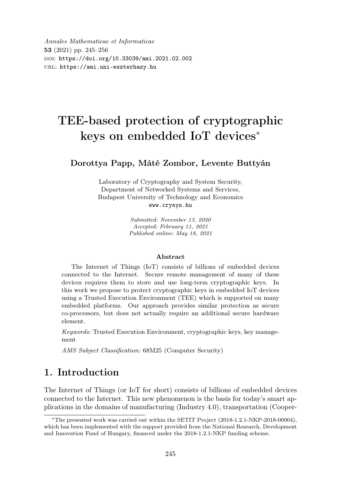Annales Mathematicae et Informaticae 53 (2021) pp. 245–256 doi: https://doi.org/10.33039/ami.2021.02.002 url: https://ami.uni-eszterhazy.hu

# TEE-based protection of cryptographic keys on embedded IoT devices<sup>∗</sup>

#### Dorottya Papp, Máté Zombor, Levente Buttyán

Laboratory of Cryptography and System Security, Department of Networked Systems and Services, Budapest University of Technology and Economics www.crysys.hu

> Submitted: November 13, 2020 Accepted: February 11, 2021 Published online: May 18, 2021

#### Abstract

The Internet of Things (IoT) consists of billions of embedded devices connected to the Internet. Secure remote management of many of these devices requires them to store and use long-term cryptographic keys. In this work we propose to protect cryptographic keys in embedded IoT devices using a Trusted Execution Environment (TEE) which is supported on many embedded platforms. Our approach provides similar protection as secure co-processors, but does not actually require an additional secure hardware element.

Keywords: Trusted Execution Environment, cryptographic keys, key management

AMS Subject Classification: 68M25 (Computer Security)

# 1. Introduction

The Internet of Things (or IoT for short) consists of billions of embedded devices connected to the Internet. This new phenomenon is the basis for today's smart applications in the domains of manufacturing (Industry 4.0), transportation (Cooper-

<sup>∗</sup>The presented work was carried out within the SETIT Project (2018-1.2.1-NKP-2018-00004), which has been implemented with the support provided from the National Research, Development and Innovation Fund of Hungary, financed under the 2018-1.2.1-NKP funding scheme.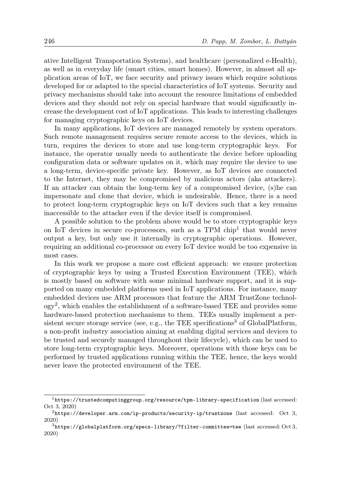ative Intelligent Transportation Systems), and healthcare (personalized e-Health), as well as in everyday life (smart cities, smart homes). However, in almost all application areas of IoT, we face security and privacy issues which require solutions developed for or adapted to the special characteristics of IoT systems. Security and privacy mechanisms should take into account the resource limitations of embedded devices and they should not rely on special hardware that would significantly increase the development cost of IoT applications. This leads to interesting challenges for managing cryptographic keys on IoT devices.

In many applications, IoT devices are managed remotely by system operators. Such remote management requires secure remote access to the devices, which in turn, requires the devices to store and use long-term cryptographic keys. For instance, the operator usually needs to authenticate the device before uploading configuration data or software updates on it, which may require the device to use a long-term, device-specific private key. However, as IoT devices are connected to the Internet, they may be compromised by malicious actors (aka attackers). If an attacker can obtain the long-term key of a compromised device, (s)he can impersonate and clone that device, which is undesirable. Hence, there is a need to protect long-term cryptographic keys on IoT devices such that a key remains inaccessible to the attacker even if the device itself is compromised.

A possible solution to the problem above would be to store cryptographic keys on IoT devices in secure co-processors, such as a TPM chip<sup>1</sup> that would never output a key, but only use it internally in cryptographic operations. However, requiring an additional co-processor on every IoT device would be too expensive in most cases.

In this work we propose a more cost efficient approach: we ensure protection of cryptographic keys by using a Trusted Execution Environment (TEE), which is mostly based on software with some minimal hardware support, and it is supported on many embedded platforms used in IoT applications. For instance, many embedded devices use ARM processors that feature the ARM TrustZone technology<sup>2</sup> , which enables the establishment of a software-based TEE and provides some hardware-based protection mechanisms to them. TEEs usually implement a persistent secure storage service (see, e.g., the TEE specifications<sup>3</sup> of GlobalPlatform, a non-profit industry association aiming at enabling digital services and devices to be trusted and securely managed throughout their lifecycle), which can be used to store long-term cryptographic keys. Moreover, operations with those keys can be performed by trusted applications running within the TEE, hence, the keys would never leave the protected environment of the TEE.

<sup>1</sup>https://trustedcomputinggroup.org/resource/tpm-library-specification (last accessed: Oct 3, 2020)

 $2$ https://developer.arm.com/ip-products/security-ip/trustzone (last accessed: Oct 3, 2020)

 $3$ https://globalplatform.org/specs-library/?filter-committee=tee (last accessed: Oct 3, 2020)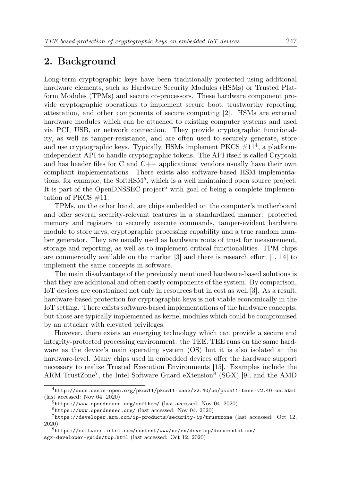# 2. Background

Long-term cryptographic keys have been traditionally protected using additional hardware elements, such as Hardware Security Modules (HSMs) or Trusted Platform Modules (TPMs) and secure co-processors. These hardware component provide cryptographic operations to implement secure boot, trustworthy reporting, attestation, and other components of secure computing [2]. HSMs are external hardware modules which can be attached to existing computer systems and used via PCI, USB, or network connection. They provide cryptographic functionality, as well as tamper-resistance, and are often used to securely generate, store and use cryptographic keys. Typically, HSMs implement PKCS  $\#11^4$ , a platformindependent API to handle cryptographic tokens. The API itself is called Cryptoki and has header files for C and C++ applications; vendors usually have their own compliant implementations. There exists also software-based HSM implementations, for example, the SoftHSM<sup>5</sup>, which is a well maintained open source project. It is part of the OpenDNSSEC project<sup>6</sup> with goal of being a complete implementation of PKCS  $\#11$ .

TPMs, on the other hand, are chips embedded on the computer's motherboard and offer several security-relevant features in a standardized manner: protected memory and registers to securely execute commands, tamper-evident hardware module to store keys, cryptographic processing capability and a true random number generator. They are usually used as hardware roots of trust for measurement, storage and reporting, as well as to implement critical functionalities. TPM chips are commercially available on the market [3] and there is research effort [1, 14] to implement the same concepts in software.

The main disadvantage of the previously mentioned hardware-based solutions is that they are additional and often costly components of the system. By comparison, IoT devices are constrained not only in resources but in cost as well [3]. As a result, hardware-based protection for cryptographic keys is not viable economically in the IoT setting. There exists software-based implementations of the hardware concepts, but those are typically implemented as kernel modules which could be compromised by an attacker with elevated privileges.

However, there exists an emerging technology which can provide a secure and integrity-protected processing environment: the TEE. TEE runs on the same hardware as the device's main operating system (OS) but it is also isolated at the hardware-level. Many chips used in embedded devices offer the hardware support necessary to realize Trusted Execution Environments [15]. Examples include the ARM TrustZone<sup>7</sup>, the Intel Software Guard eXtension<sup>8</sup> (SGX) [9], and the AMD

<sup>4</sup>http://docs.oasis-open.org/pkcs11/pkcs11-base/v2.40/os/pkcs11-base-v2.40-os.html (last accessed: Nov 04, 2020)

 $5$ https://www.opendnssec.org/softhsm/ (last accessed: Nov 04, 2020)

 $6$ https://www.opendnssec.org/ (last accessed: Nov 04, 2020)

<sup>7</sup>https://developer.arm.com/ip-products/security-ip/trustzone (last accessed: Oct 12, 2020)

 $8$ https://software.intel.com/content/www/us/en/develop/documentation/ sgx-developer-guide/top.html (last accessed: Oct 12, 2020)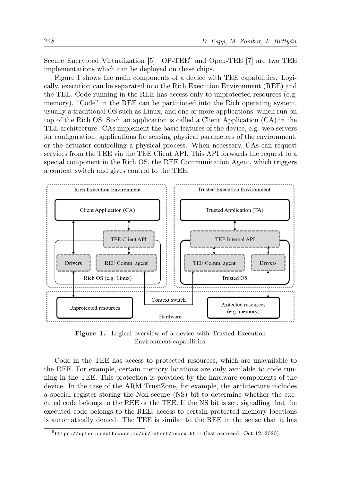Secure Encrypted Virtualization [5].  $OP-TEE<sup>9</sup>$  and Open-TEE [7] are two TEE implementations which can be deployed on these chips.

Figure 1 shows the main components of a device with TEE capabilities. Logically, execution can be separated into the Rich Execution Environment (REE) and the TEE. Code running in the REE has access only to unprotected resources (e.g. memory). "Code" in the REE can be partitioned into the Rich operating system, usually a traditional OS such as Linux, and one or more applications, which run on top of the Rich OS. Such an application is called a Client Application (CA) in the TEE architecture. CAs implement the basic features of the device, e.g. web servers for configuration, applications for sensing physical parameters of the environment, or the actuator controlling a physical process. When necessary, CAs can request services from the TEE via the TEE Client API. This API forwards the request to a special component in the Rich OS, the REE Communication Agent, which triggers a context switch and gives control to the TEE.



Figure 1. Logical overview of a device with Trusted Execution Environment capabilities.

Code in the TEE has access to protected resources, which are unavailable to the REE. For example, certain memory locations are only available to code running in the TEE. This protection is provided by the hardware components of the device. In the case of the ARM TrustZone, for example, the architecture includes a special register storing the Non-secure (NS) bit to determine whether the executed code belongs to the REE or the TEE. If the NS bit is set, signalling that the executed code belongs to the REE, access to certain protected memory locations is automatically denied. The TEE is similar to the REE in the sense that it has

 $^{9}$ https://optee.readthedocs.io/en/latest/index.html (last accessed: Oct 12, 2020)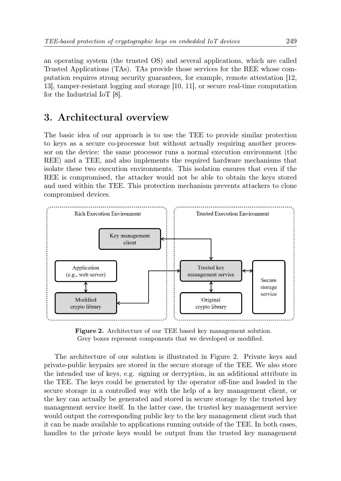an operating system (the trusted OS) and several applications, which are called Trusted Applications (TAs). TAs provide those services for the REE whose computation requires strong security guarantees, for example, remote attestation [12, 13], tamper-resistant logging and storage [10, 11], or secure real-time computation for the Industrial IoT [8].

### 3. Architectural overview

The basic idea of our approach is to use the TEE to provide similar protection to keys as a secure co-processor but without actually requiring another processor on the device: the same processor runs a normal execution environment (the REE) and a TEE, and also implements the required hardware mechanisms that isolate these two execution environments. This isolation ensures that even if the REE is compromised, the attacker would not be able to obtain the keys stored and used within the TEE. This protection mechanism prevents attackers to clone compromised devices.



Figure 2. Architecture of our TEE based key management solution. Grey boxes represent components that we developed or modified.

The architecture of our solution is illustrated in Figure 2. Private keys and private-public keypairs are stored in the secure storage of the TEE. We also store the intended use of keys, e.g. signing or decryption, in an additional attribute in the TEE. The keys could be generated by the operator off-line and loaded in the secure storage in a controlled way with the help of a key management client, or the key can actually be generated and stored in secure storage by the trusted key management service itself. In the latter case, the trusted key management service would output the corresponding public key to the key management client such that it can be made available to applications running outside of the TEE. In both cases, handles to the private keys would be output from the trusted key management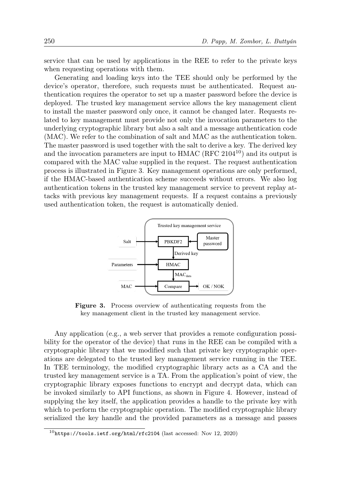service that can be used by applications in the REE to refer to the private keys when requesting operations with them.

Generating and loading keys into the TEE should only be performed by the device's operator, therefore, such requests must be authenticated. Request authentication requires the operator to set up a master password before the device is deployed. The trusted key management service allows the key management client to install the master password only once, it cannot be changed later. Requests related to key management must provide not only the invocation parameters to the underlying cryptographic library but also a salt and a message authentication code (MAC). We refer to the combination of salt and MAC as the authentication token. The master password is used together with the salt to derive a key. The derived key and the invocation parameters are input to HMAC (RFC  $2104^{10}$ ) and its output is compared with the MAC value supplied in the request. The request authentication process is illustrated in Figure 3. Key management operations are only performed, if the HMAC-based authentication scheme succeeds without errors. We also log authentication tokens in the trusted key management service to prevent replay attacks with previous key management requests. If a request contains a previously used authentication token, the request is automatically denied.



Figure 3. Process overview of authenticating requests from the key management client in the trusted key management service.

Any application (e.g., a web server that provides a remote configuration possibility for the operator of the device) that runs in the REE can be compiled with a cryptographic library that we modified such that private key cryptographic operations are delegated to the trusted key management service running in the TEE. In TEE terminology, the modified cryptographic library acts as a CA and the trusted key management service is a TA. From the application's point of view, the cryptographic library exposes functions to encrypt and decrypt data, which can be invoked similarly to API functions, as shown in Figure 4. However, instead of supplying the key itself, the application provides a handle to the private key with which to perform the cryptographic operation. The modified cryptographic library serialized the key handle and the provided parameters as a message and passes

 $10$ https://tools.ietf.org/html/rfc2104 (last accessed: Nov 12, 2020)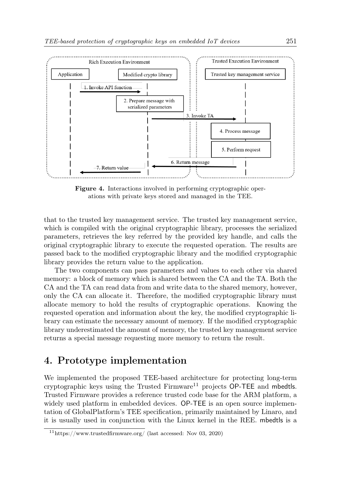

Figure 4. Interactions involved in performing cryptographic operations with private keys stored and managed in the TEE.

that to the trusted key management service. The trusted key management service, which is compiled with the original cryptographic library, processes the serialized parameters, retrieves the key referred by the provided key handle, and calls the original cryptographic library to execute the requested operation. The results are passed back to the modified cryptographic library and the modified cryptographic library provides the return value to the application.

The two components can pass parameters and values to each other via shared memory: a block of memory which is shared between the CA and the TA. Both the CA and the TA can read data from and write data to the shared memory, however, only the CA can allocate it. Therefore, the modified cryptographic library must allocate memory to hold the results of cryptographic operations. Knowing the requested operation and information about the key, the modified cryptographic library can estimate the necessary amount of memory. If the modified cryptographic library underestimated the amount of memory, the trusted key management service returns a special message requesting more memory to return the result.

# 4. Prototype implementation

We implemented the proposed TEE-based architecture for protecting long-term cryptographic keys using the Trusted Firmware<sup>11</sup> projects OP-TEE and mbedtls. Trusted Firmware provides a reference trusted code base for the ARM platform, a widely used platform in embedded devices. OP-TEE is an open source implementation of GlobalPlatform's TEE specification, primarily maintained by Linaro, and it is usually used in conjunction with the Linux kernel in the REE. mbedtls is a

 $11$ https://www.trustedfirmware.org/ (last accessed: Nov 03, 2020)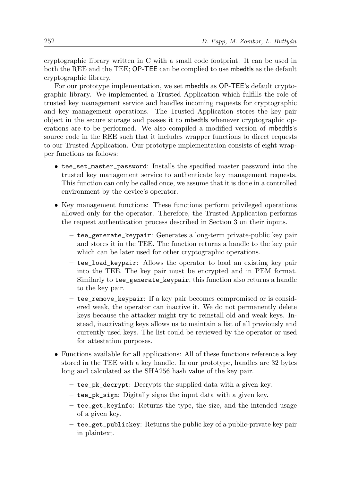cryptographic library written in C with a small code footprint. It can be used in both the REE and the TEE; OP-TEE can be complied to use mbedtls as the default cryptographic library.

For our prototype implementation, we set mbedtls as OP-TEE's default cryptographic library. We implemented a Trusted Application which fulfills the role of trusted key management service and handles incoming requests for cryptographic and key management operations. The Trusted Application stores the key pair object in the secure storage and passes it to mbedtls whenever cryptographic operations are to be performed. We also compiled a modified version of mbedtls's source code in the REE such that it includes wrapper functions to direct requests to our Trusted Application. Our prototype implementation consists of eight wrapper functions as follows:

- tee\_set\_master\_password: Installs the specified master password into the trusted key management service to authenticate key management requests. This function can only be called once, we assume that it is done in a controlled environment by the device's operator.
- Key management functions: These functions perform privileged operations allowed only for the operator. Therefore, the Trusted Application performs the request authentication process described in Section 3 on their inputs.
	- tee\_generate\_keypair: Generates a long-term private-public key pair and stores it in the TEE. The function returns a handle to the key pair which can be later used for other cryptographic operations.
	- tee\_load\_keypair: Allows the operator to load an existing key pair into the TEE. The key pair must be encrypted and in PEM format. Similarly to tee\_generate\_keypair, this function also returns a handle to the key pair.
	- tee\_remove\_keypair: If a key pair becomes compromised or is considered weak, the operator can inactive it. We do not permanently delete keys because the attacker might try to reinstall old and weak keys. Instead, inactivating keys allows us to maintain a list of all previously and currently used keys. The list could be reviewed by the operator or used for attestation purposes.
- Functions available for all applications: All of these functions reference a key stored in the TEE with a key handle. In our prototype, handles are 32 bytes long and calculated as the SHA256 hash value of the key pair.
	- tee\_pk\_decrypt: Decrypts the supplied data with a given key.
	- tee\_pk\_sign: Digitally signs the input data with a given key.
	- tee\_get\_keyinfo: Returns the type, the size, and the intended usage of a given key.
	- tee\_get\_publickey: Returns the public key of a public-private key pair in plaintext.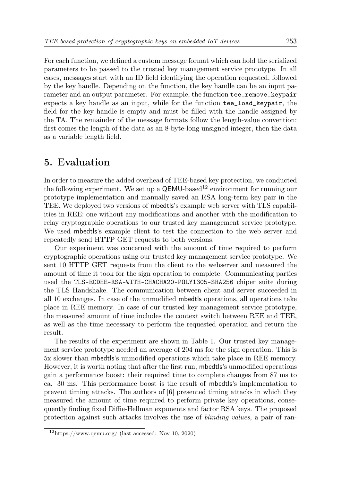For each function, we defined a custom message format which can hold the serialized parameters to be passed to the trusted key management service prototype. In all cases, messages start with an ID field identifying the operation requested, followed by the key handle. Depending on the function, the key handle can be an input parameter and an output parameter. For example, the function tee\_remove\_keypair expects a key handle as an input, while for the function tee\_load\_keypair, the field for the key handle is empty and must be filled with the handle assigned by the TA. The remainder of the message formats follow the length-value convention: first comes the length of the data as an 8-byte-long unsigned integer, then the data as a variable length field.

#### 5. Evaluation

In order to measure the added overhead of TEE-based key protection, we conducted the following experiment. We set up a  $\mathsf{QEMU}\text{-}\mathrm{based}^{12}$  environment for running our prototype implementation and manually saved an RSA long-term key pair in the TEE. We deployed two versions of mbedtls's example web server with TLS capabilities in REE: one without any modifications and another with the modification to relay cryptographic operations to our trusted key management service prototype. We used mbedtls's example client to test the connection to the web server and repeatedly send HTTP GET requests to both versions.

Our experiment was concerned with the amount of time required to perform cryptographic operations using our trusted key management service prototype. We sent 10 HTTP GET requests from the client to the webserver and measured the amount of time it took for the sign operation to complete. Communicating parties used the TLS-ECDHE-RSA-WITH-CHACHA20-POLY1305-SHA256 chiper suite during the TLS Handshake. The communication between client and server succeeded in all 10 exchanges. In case of the unmodified mbedtls operations, all operations take place in REE memory. In case of our trusted key management service prototype, the measured amount of time includes the context switch between REE and TEE, as well as the time necessary to perform the requested operation and return the result.

The results of the experiment are shown in Table 1. Our trusted key management service prototype needed an average of 204 ms for the sign operation. This is 5x slower than mbedtls's unmodified operations which take place in REE memory. However, it is worth noting that after the first run, mbedtls's unmodified operations gain a performance boost: their required time to complete changes from 87 ms to ca. 30 ms. This performance boost is the result of mbedtls's implementation to prevent timing attacks. The authors of [6] presented timing attacks in which they measured the amount of time required to perform private key operations, consequently finding fixed Diffie-Hellman exponents and factor RSA keys. The proposed protection against such attacks involves the use of blinding values, a pair of ran-

 $12$ https://www.qemu.org/ (last accessed: Nov 10, 2020)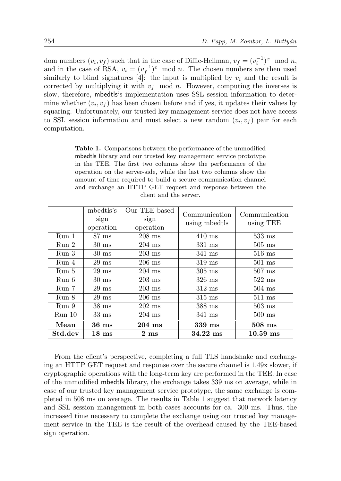dom numbers  $(v_i, v_f)$  such that in the case of Diffie-Hellman,  $v_f = (v_i^{-1})^x \mod n$ , and in the case of RSA,  $v_i = (v_f^{-1})^e \mod n$ . The chosen numbers are then used similarly to blind signatures [4]: the input is multiplied by  $v_i$  and the result is corrected by multiplying it with  $v_f$  mod n. However, computing the inverses is slow, therefore, mbedtls's implementation uses SSL session information to determine whether  $(v_i, v_f)$  has been chosen before and if yes, it updates their values by squaring. Unfortunately, our trusted key management service does not have access to SSL session information and must select a new random  $(v_i, v_f)$  pair for each computation.

Table 1. Comparisons between the performance of the unmodified mbedtls library and our trusted key management service prototype in the TEE. The first two columns show the performance of the operation on the server-side, while the last two columns show the amount of time required to build a secure communication channel and exchange an HTTP GET request and response between the client and the server.

|                  | mbedtls's<br>sign<br>operation | Our TEE-based<br>sign<br>operation | Communication<br>using mbedtls | Communication<br>using TEE |
|------------------|--------------------------------|------------------------------------|--------------------------------|----------------------------|
| Run <sub>1</sub> | $87 \text{ ms}$                | $208$ ms                           | $410 \text{ ms}$               | $533$ ms                   |
| Run <sub>2</sub> | $30 \text{ ms}$                | $204$ ms                           | $331$ ms                       | $505$ ms                   |
| Run 3            | $30 \text{ ms}$                | $203 \text{ ms}$                   | $341$ ms                       | $516$ ms                   |
| Run 4            | $29$ ms                        | $206$ ms                           | $319$ ms                       | $501 \text{ ms}$           |
| Run 5            | $29 \text{ ms}$                | $204$ ms                           | $305$ ms                       | $507$ ms                   |
| Run 6            | $30 \text{ ms}$                | $203 \text{ ms}$                   | $326$ ms                       | $522 \text{ ms}$           |
| Run 7            | $29 \text{ ms}$                | $203 \text{ ms}$                   | $312 \text{ ms}$               | $504$ ms                   |
| Run 8            | $29 \text{ ms}$                | $206$ ms                           | $315 \text{ ms}$               | $511 \text{ ms}$           |
| Run 9            | $38 \text{ ms}$                | $202 \text{ ms}$                   | $388$ ms                       | $503 \text{ ms}$           |
| $Run$ 10         | $33 \text{ ms}$                | $204$ ms                           | $341 \text{ ms}$               | $500$ ms                   |
| Mean             | $36 \text{ ms}$                | 204 ms                             | 339 ms                         | $508$ ms                   |
| Std.dev          | $18 \text{ ms}$                | $2 \text{ ms}$                     | $34.22$ ms                     | $10.59$ ms                 |

From the client's perspective, completing a full TLS handshake and exchanging an HTTP GET request and response over the secure channel is 1.49x slower, if cryptographic operations with the long-term key are performed in the TEE. In case of the unmodified mbedtls library, the exchange takes 339 ms on average, while in case of our trusted key management service prototype, the same exchange is completed in 508 ms on average. The results in Table 1 suggest that network latency and SSL session management in both cases accounts for ca. 300 ms. Thus, the increased time necessary to complete the exchange using our trusted key management service in the TEE is the result of the overhead caused by the TEE-based sign operation.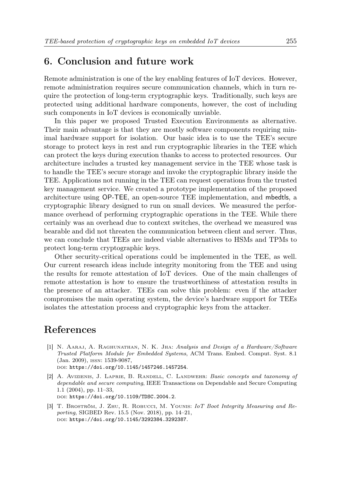### 6. Conclusion and future work

Remote administration is one of the key enabling features of IoT devices. However, remote administration requires secure communication channels, which in turn require the protection of long-term cryptographic keys. Traditionally, such keys are protected using additional hardware components, however, the cost of including such components in IoT devices is economically unviable.

In this paper we proposed Trusted Execution Environments as alternative. Their main advantage is that they are mostly software components requiring minimal hardware support for isolation. Our basic idea is to use the TEE's secure storage to protect keys in rest and run cryptographic libraries in the TEE which can protect the keys during execution thanks to access to protected resources. Our architecture includes a trusted key management service in the TEE whose task is to handle the TEE's secure storage and invoke the cryptographic library inside the TEE. Applications not running in the TEE can request operations from the trusted key management service. We created a prototype implementation of the proposed architecture using OP-TEE, an open-source TEE implementation, and mbedtls, a cryptographic library designed to run on small devices. We measured the performance overhead of performing cryptographic operations in the TEE. While there certainly was an overhead due to context switches, the overhead we measured was bearable and did not threaten the communication between client and server. Thus, we can conclude that TEEs are indeed viable alternatives to HSMs and TPMs to protect long-term cryptographic keys.

Other security-critical operations could be implemented in the TEE, as well. Our current research ideas include integrity monitoring from the TEE and using the results for remote attestation of IoT devices. One of the main challenges of remote attestation is how to ensure the trustworthiness of attestation results in the presence of an attacker. TEEs can solve this problem: even if the attacker compromises the main operating system, the device's hardware support for TEEs isolates the attestation process and cryptographic keys from the attacker.

# References

- [1] N. Aaraj, A. Raghunathan, N. K. Jha: Analysis and Design of a Hardware/Software Trusted Platform Module for Embedded Systems, ACM Trans. Embed. Comput. Syst. 8.1 (Jan. 2009), issn: 1539-9087, doi: https://doi.org/10.1145/1457246.1457254.
- [2] A. AVIZIENIS, J. LAPRIE, B. RANDELL, C. LANDWEHR: Basic concepts and taxonomy of dependable and secure computing, IEEE Transactions on Dependable and Secure Computing 1.1 (2004), pp. 11–33, doi: https://doi.org/10.1109/TDSC.2004.2.
- [3] T. BROSTRÖM, J. ZHU, R. ROBUCCI, M. YOUNIS: IoT Boot Integrity Measuring and Reporting, SIGBED Rev. 15.5 (Nov. 2018), pp. 14–21, doi: https://doi.org/10.1145/3292384.3292387.